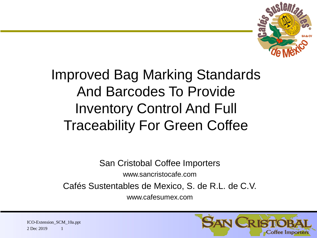

# Improved Bag Marking Standards And Barcodes To Provide Inventory Control And Full Traceability For Green Coffee

San Cristobal Coffee Importers

www.sancristocafe.com

Cafés Sustentables de Mexico, S. de R.L. de C.V.

www.cafesumex.com

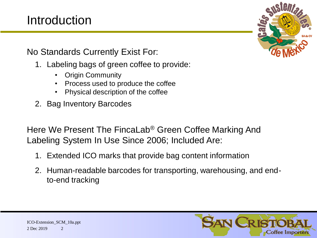### Introduction

No Standards Currently Exist For:

- 1. Labeling bags of green coffee to provide:
	- Origin Community
	- Process used to produce the coffee
	- Physical description of the coffee
- 2. Bag Inventory Barcodes

Here We Present The FincaLab® Green Coffee Marking And Labeling System In Use Since 2006; Included Are:

- 1. Extended ICO marks that provide bag content information
- 2. Human-readable barcodes for transporting, warehousing, and endto-end tracking

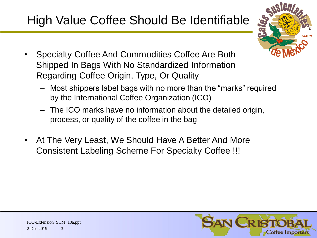## High Value Coffee Should Be Identifiable



- Specialty Coffee And Commodities Coffee Are Both Shipped In Bags With No Standardized Information Regarding Coffee Origin, Type, Or Quality
	- Most shippers label bags with no more than the "marks" required by the International Coffee Organization (ICO)
	- The ICO marks have no information about the detailed origin, process, or quality of the coffee in the bag
- At The Very Least, We Should Have A Better And More Consistent Labeling Scheme For Specialty Coffee !!!

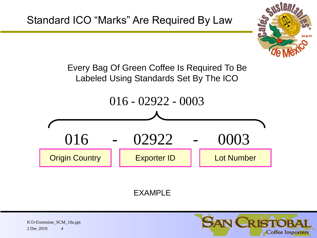

Every Bag Of Green Coffee Is Required To Be Labeled Using Standards Set By The ICO



EXAMPLE



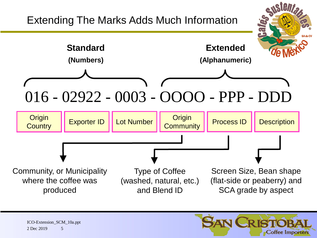

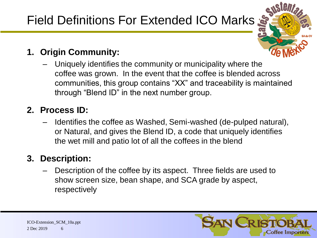# Field Definitions For Extended ICO Marks



#### **1. Origin Community:**

– Uniquely identifies the community or municipality where the coffee was grown. In the event that the coffee is blended across communities, this group contains "XX" and traceability is maintained through "Blend ID" in the next number group.

#### **2. Process ID:**

– Identifies the coffee as Washed, Semi-washed (de-pulped natural), or Natural, and gives the Blend ID, a code that uniquely identifies the wet mill and patio lot of all the coffees in the blend

#### **3. Description:**

– Description of the coffee by its aspect. Three fields are used to show screen size, bean shape, and SCA grade by aspect, respectively

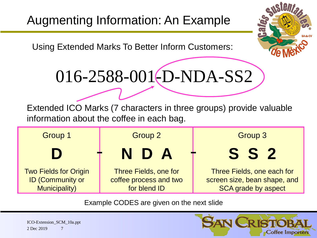Using Extended Marks To Better Inform Customers:



016-2588-001(D-NDA-SS2

Extended ICO Marks (7 characters in three groups) provide valuable information about the coffee in each bag.



Example CODES are given on the next slide

2 Dec 2019 ICO-Extension\_SCM\_10a.ppt 7

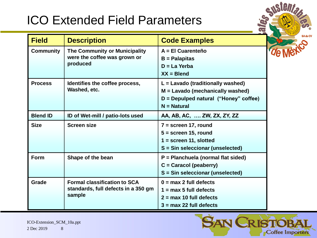### ICO Extended Field Parameters



| <b>Field</b>     | <b>Description</b>                                                                   | <b>Code Examples</b>                                                                                                                  |
|------------------|--------------------------------------------------------------------------------------|---------------------------------------------------------------------------------------------------------------------------------------|
| <b>Community</b> | The Community or Municipality<br>were the coffee was grown or<br>produced            | A = El Cuarenteño<br>$B = Palapitas$<br>$D = La Yerba$<br>$XX = B$ lend                                                               |
| <b>Process</b>   | Identifies the coffee process,<br>Washed, etc.                                       | $L =$ Lavado (traditionally washed)<br>$M =$ Lavado (mechanically washed)<br>$D =$ Depulped natural ("Honey" coffee)<br>$N = Natural$ |
| <b>Blend ID</b>  | ID of Wet-mill / patio-lots used                                                     | AA, AB, AC,  ZW, ZX, ZY, ZZ                                                                                                           |
| <b>Size</b>      | <b>Screen size</b>                                                                   | $7 = screen 17, round$<br>$5 =$ screen 15, round<br>$1 = screen 11, slotted$<br>S = Sin seleccionar (unselected)                      |
| Form             | Shape of the bean                                                                    | P = Planchuela (normal flat sided)<br>$C =$ Caracol (peaberry)<br>S = Sin seleccionar (unselected)                                    |
| Grade            | <b>Formal classification to SCA</b><br>standards, full defects in a 350 gm<br>sample | $0 = max 2$ full defects<br>$1 = max 5 full defects$<br>$2 = max 10$ full defects<br>$3 = max 22$ full defects                        |



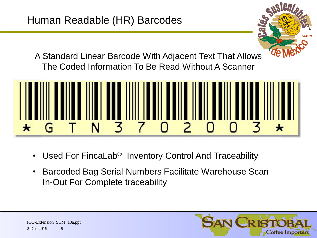

A Standard Linear Barcode With Adjacent Text That Allows The Coded Information To Be Read Without A Scanner



- Used For FincaLab<sup>®</sup> Inventory Control And Traceability
- Barcoded Bag Serial Numbers Facilitate Warehouse Scan In-Out For Complete traceability

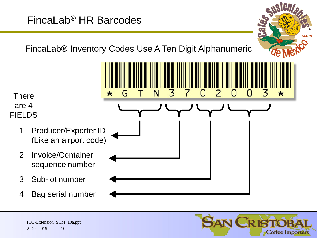### FincaLab® HR Barcodes

FincaLab® Inventory Codes Use A Ten Digit Alphanumeric

(٦

×

Κ

N

There are 4 FIELDS

- 1. Producer/Exporter ID (Like an airport code)
- 2. Invoice/Container sequence number
- 3. Sub-lot number
- 4. Bag serial number



 $\blacktriangleleft$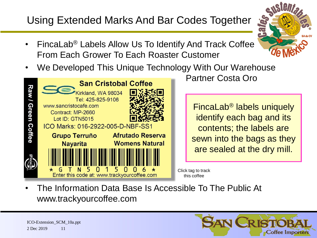### Using Extended Marks And Bar Codes Together

- 
- FincaLab® Labels Allow Us To Identify And Track Coffee From Each Grower To Each Roaster Customer
- We Developed This Unique Technology With Our Warehouse



Partner Costa Oro

FincaLab® labels uniquely identify each bag and its contents; the labels are sewn into the bags as they are sealed at the dry mill.

Click tag to track this coffee

• The Information Data Base Is Accessible To The Public At www.trackyourcoffee.com

2 Dec 2019 ICO-Extension\_SCM\_10a.ppt 11

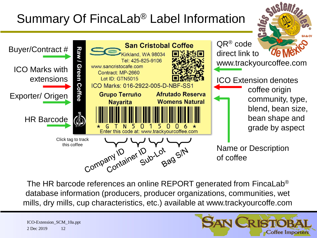## Summary Of FincaLab® Label Information



The HR barcode references an online REPORT generated from FincaLab® database information (producers, producer organizations, communities, wet mills, dry mills, cup characteristics, etc.) available at www.trackyourcoffe.com